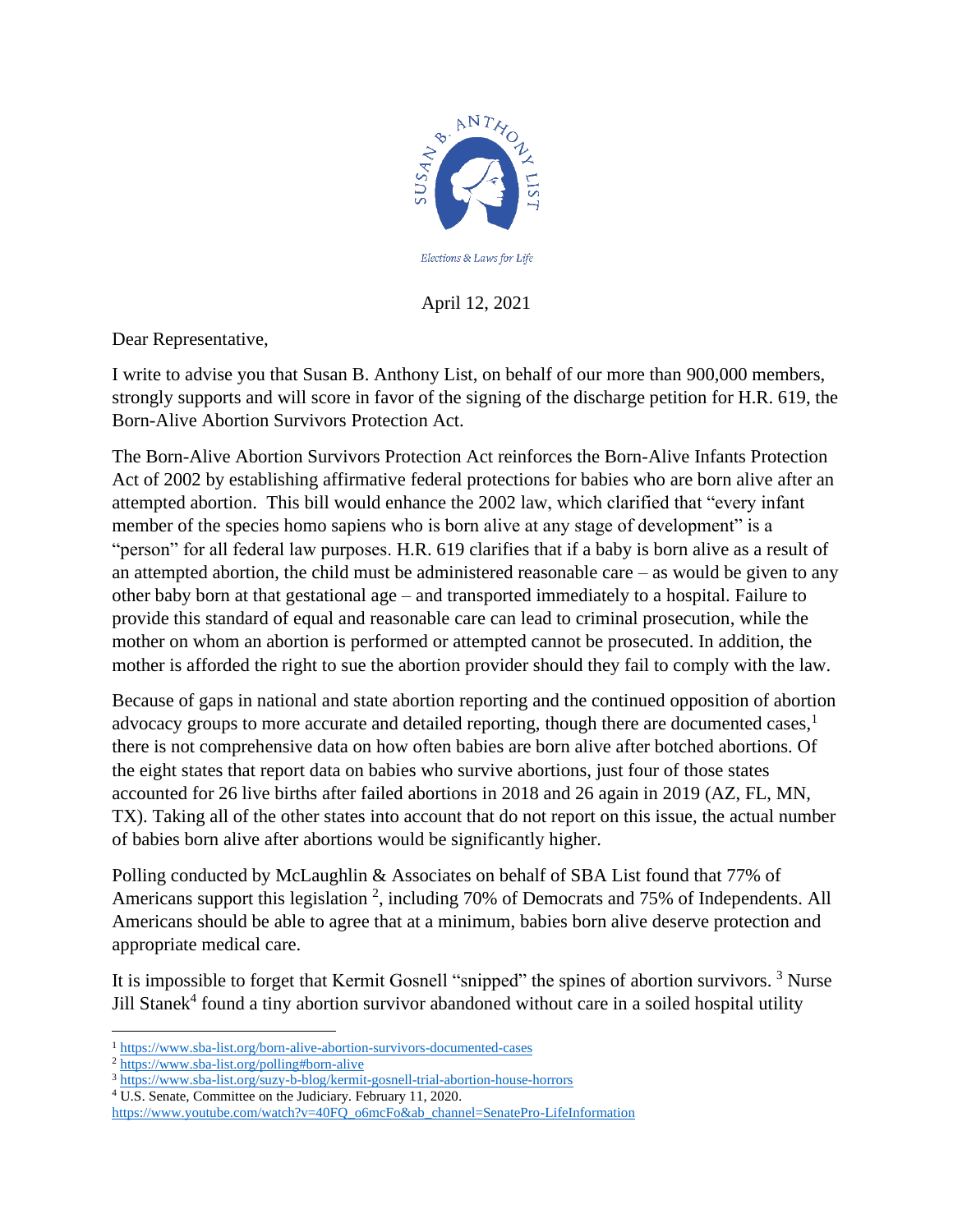

April 12, 2021

Dear Representative,

I write to advise you that Susan B. Anthony List, on behalf of our more than 900,000 members, strongly supports and will score in favor of the signing of the discharge petition for H.R. 619, the Born-Alive Abortion Survivors Protection Act.

The Born-Alive Abortion Survivors Protection Act reinforces the Born-Alive Infants Protection Act of 2002 by establishing affirmative federal protections for babies who are born alive after an attempted abortion. This bill would enhance the 2002 law, which clarified that "every infant member of the species homo sapiens who is born alive at any stage of development" is a "person" for all federal law purposes. H.R. 619 clarifies that if a baby is born alive as a result of an attempted abortion, the child must be administered reasonable care  $-$  as would be given to any other baby born at that gestational age – and transported immediately to a hospital. Failure to provide this standard of equal and reasonable care can lead to criminal prosecution, while the mother on whom an abortion is performed or attempted cannot be prosecuted. In addition, the mother is afforded the right to sue the abortion provider should they fail to comply with the law.

Because of gaps in national and state abortion reporting and the continued opposition of abortion advocacy groups to more accurate and detailed reporting, though there are documented cases, $\frac{1}{1}$ there is not comprehensive data on how often babies are born alive after botched abortions. Of the eight states that report data on babies who survive abortions, just four of those states accounted for 26 live births after failed abortions in 2018 and 26 again in 2019 (AZ, FL, MN, TX). Taking all of the other states into account that do not report on this issue, the actual number of babies born alive after abortions would be significantly higher.

Polling conducted by McLaughlin & Associates on behalf of SBA List found that 77% of Americans support this legislation<sup>2</sup>, including 70% of Democrats and 75% of Independents. All Americans should be able to agree that at a minimum, babies born alive deserve protection and appropriate medical care.

It is impossible to forget that Kermit Gosnell "snipped" the spines of abortion survivors.<sup>3</sup> Nurse Jill Stanek<sup>4</sup> found a tiny abortion survivor abandoned without care in a soiled hospital utility

<sup>1</sup> <https://www.sba-list.org/born-alive-abortion-survivors-documented-cases>

<sup>2</sup> <https://www.sba-list.org/polling#born-alive>

<sup>3</sup> <https://www.sba-list.org/suzy-b-blog/kermit-gosnell-trial-abortion-house-horrors>

<sup>4</sup> U.S. Senate, Committee on the Judiciary. February 11, 2020.

[https://www.youtube.com/watch?v=40FQ\\_o6mcFo&ab\\_channel=SenatePro-LifeInformation](https://www.youtube.com/watch?v=40FQ_o6mcFo&ab_channel=SenatePro-LifeInformation)